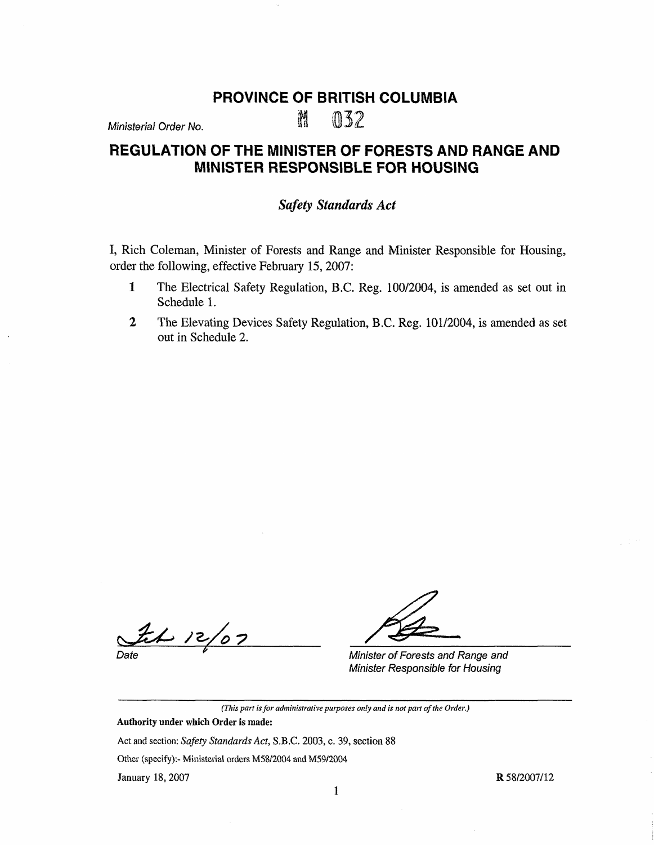## **PROVINCE OF BRITISH COLUMBIA**

# $M$ inisterial Order No.  ${\mathbb M}$  032

# **REGULATION OF THE MINISTER OF FORESTS AND RANGE AND MINISTER RESPONSIBLE FOR HOUSING**

### *Safety Standards Act*

I, Rich Coleman, Minister of Forests and Range and Minister Responsible for Housing, order the following, effective February 15, 2007:

- **1** The Electrical Safety Regulation, B.C. Reg. 100/2004, is amended as set out in Schedule 1.
- **2** The Elevating Devices Safety Regulation, B.C. Reg. 101/2004, is amended as set out in Schedule 2.

 $262/07$ 

Date

Minister of Forests and Range and Minister Responsible for Housing

*(This part is for administrative purposes only and is not part of the Order.)* 

Authority under which Order is made: Act and section: *Safety Standards Act,* S.B.C. 2003, c. 39, section 88 Other (specify):- Ministerial orders MS8/2004 and M59/2004 January 18, 2007

**R** 58/2007/12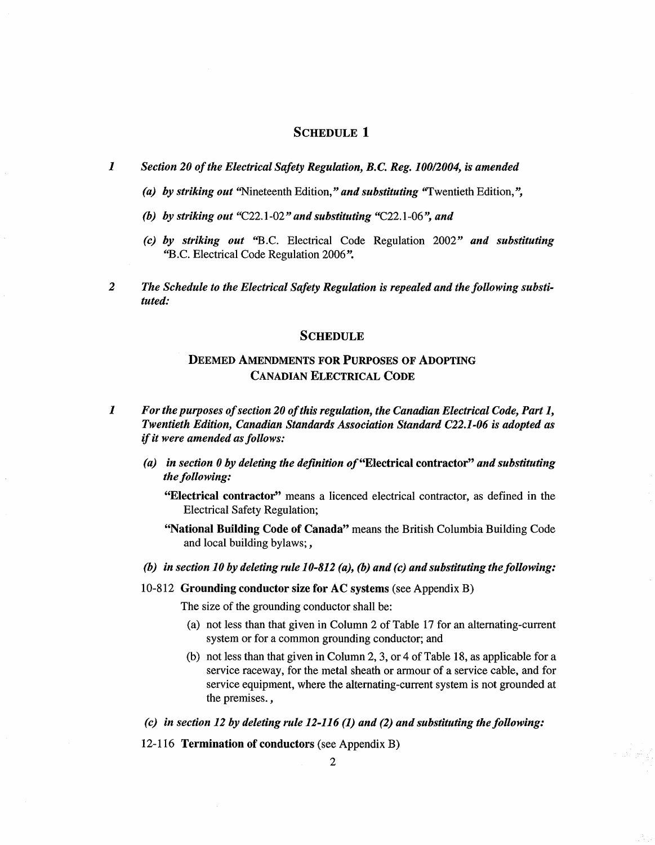#### SCHEDULE 1

*1 Section 20 of the Electrical Safety Regulation, B.C. Reg. 100/2004, is amended* 

- *(a) by striking out* "Nineteenth Edition," *and substituting* "Twentieth Edition,",
- *(h) by striking out* "C22.1-02" *and substituting* "C22.l-06", *and*
- *(c) by striking out* "B.C. Electrical Code Regulation 2002" *and substituting*  "B.C. Electrical Code Regulation 2006".
- *2 The Schedule to the Electrical Safety Regulation is repealed and the following substituted:*

#### **SCHEDULE**

## DEEMED **AMENDMENTS FOR PURPOSES OF ADOPTING CANADIAN ELECTRICAL CODE**

- *1 For the purposes of section 20 of this regulation, the Canadian Electrical Code, Part 1, Twentieth Edition, Canadian Standards Association Standard C22.1-06 is adopted as*  if *it were amended as follows:* 
	- *(a) in section 0 by deleting the definition of "Electrical contractor" and substituting the following:*

**"Electrical contractor''** means a licenced electrical contractor, as defined in the Electrical Safety Regulation;

- **"National Building Code of Canada"** means the British Columbia Building Code and local building bylaws;,
- *(b) in section 10 by deleting rule 10-812 (a), (b) and (c) and substituting the following:*
- 10-812 **Grounding conductor size for AC systems** (see Appendix B)

The size of the grounding conductor shall be:

- (a) not less than that given in Column 2 of Table 17 for an alternating-current system or for a common grounding conductor; and
- (b) not less than that given in Column 2, 3, or 4 of Table 18, as applicable for a service raceway, for the metal sheath or armour of a service cable, and for service equipment, where the alternating-current system is not grounded at the premises.,

 $\mathcal{F}_{\mathcal{F}}$ 

*(c) in section 12 by deleting rule 12-116 (1) and (2) and substituting the following:* 

12-116 **Termination of conductors** ( see Appendix B)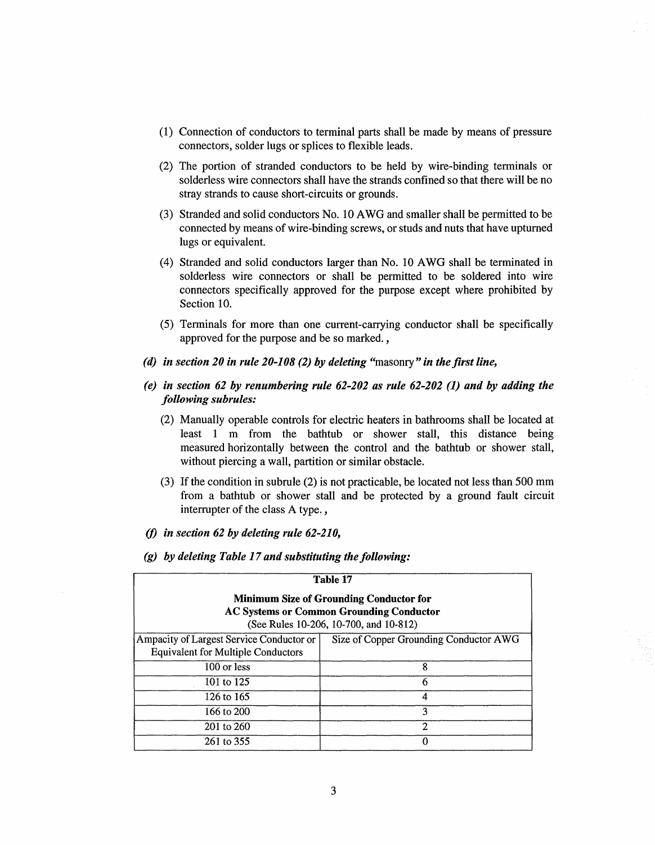- (1) Connection of conductors to terminal parts shall be made by means of pressure connectors, solder lugs or splices to flexible leads.
- (2) The portion of stranded conductors to be held by wire-binding terminals or solderless wire connectors shall have the strands confined so that there will be no stray strands to cause short-circuits or grounds.
- (3) Stranded and solid conductors No. 10 AWG and smaller shall be permitted to be connected by means of wire-binding screws, or studs and nuts that have upturned lugs or equivalent.
- (4) Stranded and solid conductors larger than No. 10 AWG shall be terminated in solderless wire connectors or shall be permitted to be soldered into wire connectors specifically approved for the purpose except where prohibited by Section 10.
- (5) Terminals for more than one current-carrying conductor shall be specifically approved for the purpose and be so marked. ,
- *( d) in section 20 in rule 20-108 (2) by deleting* "masonry" *in the first line,*
- *(e) in section 62 by renumbering rule 62-202 as rule 62-202 (I) and by adding the following subrules:* 
	- (2) Manually operable controls for electric heaters in bathrooms shall be located at least 1 m from the bathtub or shower stall, this distance being measured horizontally between the control and the bathtub or shower stall, without piercing a wall, partition or similar obstacle.
	- (3) If the condition in subrule (2) is not practicable, be located not less than 500 mm from a bathtub or shower stall and be protected by a ground fault circuit interrupter of the class A type. ,
- *(j) in section 62 by deleting rule 62-210,*
- *(g) by deleting Table 17 and substituting the following:*

|                                                                                                                                             | Table 17                               |  |
|---------------------------------------------------------------------------------------------------------------------------------------------|----------------------------------------|--|
| <b>Minimum Size of Grounding Conductor for</b><br><b>AC Systems or Common Grounding Conductor</b><br>(See Rules 10-206, 10-700, and 10-812) |                                        |  |
| Ampacity of Largest Service Conductor or<br><b>Equivalent for Multiple Conductors</b>                                                       | Size of Copper Grounding Conductor AWG |  |
| 100 or less                                                                                                                                 | 8                                      |  |
| 101 to 125                                                                                                                                  | 6                                      |  |
| 126 to 165                                                                                                                                  | 4                                      |  |
| 166 to 200                                                                                                                                  | 3                                      |  |
| 201 to 260                                                                                                                                  | 2                                      |  |
| 261 to 355                                                                                                                                  | 0                                      |  |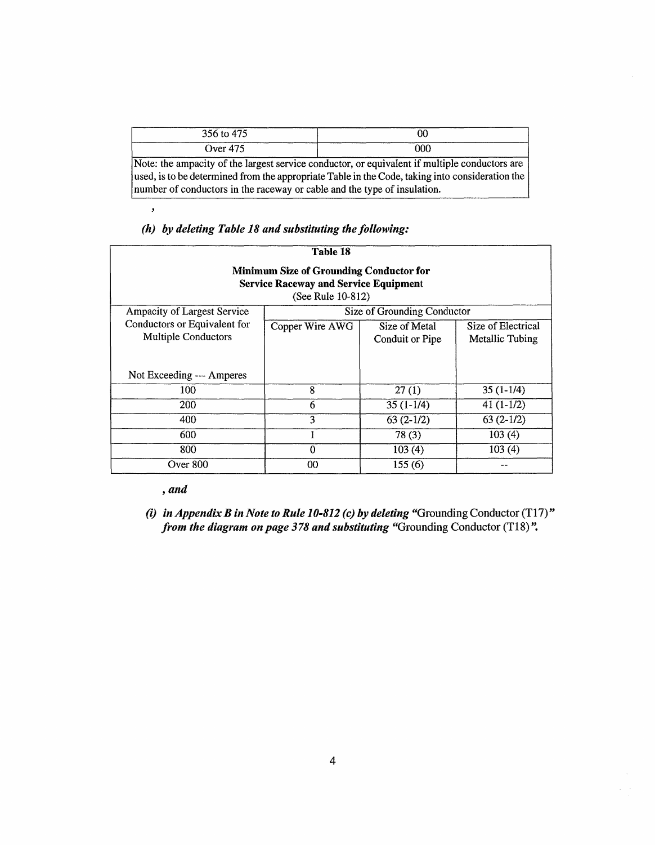| 356 to 475                                                                                                                                                                                                                                                                   | 00  |  |  |
|------------------------------------------------------------------------------------------------------------------------------------------------------------------------------------------------------------------------------------------------------------------------------|-----|--|--|
| Over $475$                                                                                                                                                                                                                                                                   | 000 |  |  |
| Note: the ampacity of the largest service conductor, or equivalent if multiple conductors are<br>used, is to be determined from the appropriate Table in the Code, taking into consideration the<br>number of conductors in the raceway or cable and the type of insulation. |     |  |  |

*(h) by deleting Table 18 and substituting the following:* 

|                                                                                                                     | Table 18                    |                                  |                                       |  |  |
|---------------------------------------------------------------------------------------------------------------------|-----------------------------|----------------------------------|---------------------------------------|--|--|
| <b>Minimum Size of Grounding Conductor for</b><br><b>Service Raceway and Service Equipment</b><br>(See Rule 10-812) |                             |                                  |                                       |  |  |
| Ampacity of Largest Service                                                                                         | Size of Grounding Conductor |                                  |                                       |  |  |
| Conductors or Equivalent for<br>Multiple Conductors                                                                 | Copper Wire AWG             | Size of Metal<br>Conduit or Pipe | Size of Electrical<br>Metallic Tubing |  |  |
| Not Exceeding --- Amperes                                                                                           |                             |                                  |                                       |  |  |
| 100                                                                                                                 | 8                           | 27(1)                            | $35(1-1/4)$                           |  |  |
| 200                                                                                                                 | 6                           | $35(1-1/4)$                      | $41(1-1/2)$                           |  |  |
| 400                                                                                                                 | 3                           | $63(2-1/2)$                      | $63(2-1/2)$                           |  |  |
| 600                                                                                                                 |                             | 78(3)                            | 103(4)                                |  |  |
| 800                                                                                                                 | 0                           | 103(4)                           | 103(4)                                |  |  |
| Over 800                                                                                                            | 00                          | 155(6)                           |                                       |  |  |

## , *and*

 $\overline{\phantom{a}}$ 

(i) *in Appendix B in Note to Rule 10-812 (c) by deleting* "Grounding Conductor (T17)" *from the diagram on page 378 and substituting* "Grounding Conductor (T18)".